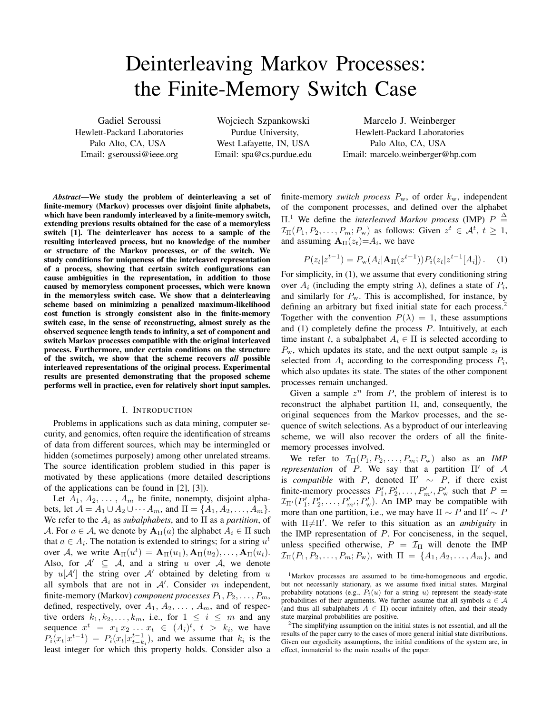# Deinterleaving Markov Processes: the Finite-Memory Switch Case

Gadiel Seroussi Hewlett-Packard Laboratories Palo Alto, CA, USA Email: gseroussi@ieee.org

Wojciech Szpankowski Purdue University, West Lafayette, IN, USA Email: spa@cs.purdue.edu

Marcelo J. Weinberger Hewlett-Packard Laboratories Palo Alto, CA, USA Email: marcelo.weinberger@hp.com

*Abstract*—We study the problem of deinterleaving a set of finite-memory (Markov) processes over disjoint finite alphabets, which have been randomly interleaved by a finite-memory switch, extending previous results obtained for the case of a memoryless switch [1]. The deinterleaver has access to a sample of the resulting interleaved process, but no knowledge of the number or structure of the Markov processes, or of the switch. We study conditions for uniqueness of the interleaved representation of a process, showing that certain switch configurations can cause ambiguities in the representation, in addition to those caused by memoryless component processes, which were known in the memoryless switch case. We show that a deinterleaving scheme based on minimizing a penalized maximum-likelihood cost function is strongly consistent also in the finite-memory switch case, in the sense of reconstructing, almost surely as the observed sequence length tends to infinity, a set of component and switch Markov processes compatible with the original interleaved process. Furthermore, under certain conditions on the structure of the switch, we show that the scheme recovers *all* possible interleaved representations of the original process. Experimental results are presented demonstrating that the proposed scheme performs well in practice, even for relatively short input samples.

#### I. INTRODUCTION

Problems in applications such as data mining, computer security, and genomics, often require the identification of streams of data from different sources, which may be intermingled or hidden (sometimes purposely) among other unrelated streams. The source identification problem studied in this paper is motivated by these applications (more detailed descriptions of the applications can be found in [2], [3]).

Let  $A_1, A_2, \ldots, A_m$  be finite, nonempty, disjoint alphabets, let  $\mathcal{A} = A_1 \cup A_2 \cup \cdots A_m$ , and  $\Pi = \{A_1, A_2, \ldots, A_m\}.$ We refer to the  $A_i$  as *subalphabets*, and to  $\Pi$  as a *partition*, of A. For  $a \in A$ , we denote by  $A_{\Pi}(a)$  the alphabet  $A_i \in \Pi$  such that  $a \in A_i$ . The notation is extended to strings; for a string  $u^t$ over A, we write  $\mathbf{A}_{\Pi}(u^t) = \mathbf{A}_{\Pi}(u_1), \mathbf{A}_{\Pi}(u_2), \dots, \mathbf{A}_{\Pi}(u_t)$ . Also, for  $A' \subseteq A$ , and a string u over A, we denote by  $u[\mathcal{A}']$  the string over  $\mathcal{A}'$  obtained by deleting from u all symbols that are not in  $A'$ . Consider m independent, finite-memory (Markov) *component processes*  $P_1, P_2, \ldots, P_m$ , defined, respectively, over  $A_1, A_2, \ldots, A_m$ , and of respective orders  $k_1, k_2, \ldots, k_m$ , i.e., for  $1 \leq i \leq m$  and any sequence  $x^t = x_1 x_2 \ldots x_t \in (A_i)^t$ ,  $t > k_i$ , we have  $P_i(x_t|x^{t-1}) = P_i(x_t|x_{t-k_i}^{t-1})$ , and we assume that  $k_i$  is the least integer for which this property holds. Consider also a finite-memory *switch process*  $P_w$ , of order  $k_w$ , independent of the component processes, and defined over the alphabet  $\Pi$ <sup>1</sup>. We define the *interleaved Markov process* (IMP)  $P \triangleq$  $\mathcal{I}_{\Pi}(P_1, P_2, \ldots, P_m; P_w)$  as follows: Given  $z^t \in \mathcal{A}^t$ ,  $t \geq 1$ , and assuming  $\mathbf{A}_{\Pi}(z_t) = A_i$ , we have

$$
P(z_t|z^{t-1}) = P_{\mathbf{w}}(A_i|\mathbf{A}_{\Pi}(z^{t-1}))P_i(z_t|z^{t-1}[A_i]). \quad (1)
$$

For simplicity, in (1), we assume that every conditioning string over  $A_i$  (including the empty string  $\lambda$ ), defines a state of  $P_i$ , and similarly for  $P_w$ . This is accomplished, for instance, by defining an arbitrary but fixed initial state for each process.<sup>2</sup> Together with the convention  $P(\lambda) = 1$ , these assumptions and (1) completely define the process P. Intuitively, at each time instant t, a subalphabet  $A_i \in \Pi$  is selected according to  $P_{\rm w}$ , which updates its state, and the next output sample  $z_t$  is selected from  $A_i$  according to the corresponding process  $P_i$ , which also updates its state. The states of the other component processes remain unchanged.

Given a sample  $z^n$  from  $P$ , the problem of interest is to reconstruct the alphabet partition Π, and, consequently, the original sequences from the Markov processes, and the sequence of switch selections. As a byproduct of our interleaving scheme, we will also recover the orders of all the finitememory processes involved.

We refer to  $\mathcal{I}_{\Pi}(P_1, P_2, \ldots, P_m; P_w)$  also as an *IMP representation* of P. We say that a partition  $\Pi'$  of A is *compatible* with P, denoted  $\Pi' \sim P$ , if there exist finite-memory processes  $P'_1, P'_2, \ldots, P'_{m'}, P'_{w}$  such that  $P =$  $\mathcal{I}_{\Pi'}(P'_1, P'_2, \ldots, P'_{m'}; P'_w)$ . An IMP may be compatible with more than one partition, i.e., we may have  $\Pi \sim P$  and  $\Pi' \sim P$ with Π $\neq$ Π'. We refer to this situation as an *ambiguity* in the IMP representation of  $P$ . For conciseness, in the sequel, unless specified otherwise,  $P = \mathcal{I}_{\Pi}$  will denote the IMP  $\mathcal{I}_{\Pi}(P_1, P_2, \ldots, P_m; P_w)$ , with  $\Pi = \{A_1, A_2, \ldots, A_m\}$ , and

<sup>1</sup>Markov processes are assumed to be time-homogeneous and ergodic, but not necessarily stationary, as we assume fixed initial states. Marginal probability notations (e.g.,  $P_i(u)$  for a string u) represent the steady-state probabilities of their arguments. We further assume that all symbols  $a \in A$ (and thus all subalphabets  $A \in \Pi$ ) occur infinitely often, and their steady state marginal probabilities are positive.

<sup>2</sup>The simplifying assumption on the initial states is not essential, and all the results of the paper carry to the cases of more general initial state distributions. Given our ergodicity assumptions, the initial conditions of the system are, in effect, immaterial to the main results of the paper.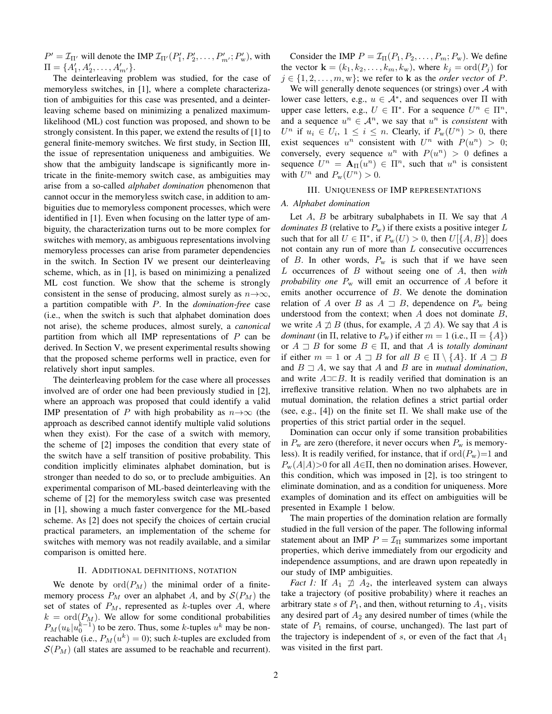$P' = \mathcal{I}_{\Pi'}$  will denote the IMP  $\mathcal{I}_{\Pi'}(P'_1, P'_2, \dots, P'_{m'}; P'_w)$ , with  $\Pi = \{A'_1, A'_2, \ldots, A'_{m'}\}.$ 

The deinterleaving problem was studied, for the case of memoryless switches, in [1], where a complete characterization of ambiguities for this case was presented, and a deinterleaving scheme based on minimizing a penalized maximumlikelihood (ML) cost function was proposed, and shown to be strongly consistent. In this paper, we extend the results of [1] to general finite-memory switches. We first study, in Section III, the issue of representation uniqueness and ambiguities. We show that the ambiguity landscape is significantly more intricate in the finite-memory switch case, as ambiguities may arise from a so-called *alphabet domination* phenomenon that cannot occur in the memoryless switch case, in addition to ambiguities due to memoryless component processes, which were identified in [1]. Even when focusing on the latter type of ambiguity, the characterization turns out to be more complex for switches with memory, as ambiguous representations involving memoryless processes can arise from parameter dependencies in the switch. In Section IV we present our deinterleaving scheme, which, as in [1], is based on minimizing a penalized ML cost function. We show that the scheme is strongly consistent in the sense of producing, almost surely as  $n\rightarrow\infty$ , a partition compatible with P. In the *domination-free* case (i.e., when the switch is such that alphabet domination does not arise), the scheme produces, almost surely, a *canonical* partition from which all IMP representations of  $P$  can be derived. In Section V, we present experimental results showing that the proposed scheme performs well in practice, even for relatively short input samples.

The deinterleaving problem for the case where all processes involved are of order one had been previously studied in [2], where an approach was proposed that could identify a valid IMP presentation of P with high probability as  $n \rightarrow \infty$  (the approach as described cannot identify multiple valid solutions when they exist). For the case of a switch with memory, the scheme of [2] imposes the condition that every state of the switch have a self transition of positive probability. This condition implicitly eliminates alphabet domination, but is stronger than needed to do so, or to preclude ambiguities. An experimental comparison of ML-based deinterleaving with the scheme of [2] for the memoryless switch case was presented in [1], showing a much faster convergence for the ML-based scheme. As [2] does not specify the choices of certain crucial practical parameters, an implementation of the scheme for switches with memory was not readily available, and a similar comparison is omitted here.

#### II. ADDITIONAL DEFINITIONS, NOTATION

We denote by  $\mathrm{ord}(P_M)$  the minimal order of a finitememory process  $P_M$  over an alphabet A, and by  $\mathcal{S}(P_M)$  the set of states of  $P_M$ , represented as k-tuples over A, where  $k = \text{ord}(P_M)$ . We allow for some conditional probabilities  $P_M(u_k|u_0^{k-1})$  to be zero. Thus, some k-tuples  $u^k$  may be nonreachable (i.e.,  $P_M(u^k) = 0$ ); such k-tuples are excluded from  $S(P_M)$  (all states are assumed to be reachable and recurrent).

Consider the IMP  $P = \mathcal{I}_{\Pi}(P_1, P_2, \dots, P_m; P_w)$ . We define the vector  $\mathbf{k} = (k_1, k_2, \dots, k_m, k_w)$ , where  $k_j = \text{ord}(P_j)$  for  $j \in \{1, 2, \ldots, m, w\}$ ; we refer to **k** as the *order vector* of *P*.

We will generally denote sequences (or strings) over  $A$  with lower case letters, e.g.,  $u \in A^*$ , and sequences over  $\Pi$  with upper case letters, e.g.,  $U \in \Pi^*$ . For a sequence  $U^n \in \Pi^n$ , and a sequence  $u^n \in A^n$ , we say that  $u^n$  is *consistent* with  $U^n$  if  $u_i \in U_i$ ,  $1 \leq i \leq n$ . Clearly, if  $P_w(U^n) > 0$ , there exist sequences  $u^n$  consistent with  $U^n$  with  $P(u^n) > 0$ ; conversely, every sequence  $u^n$  with  $P(u^n) > 0$  defines a sequence  $U^n = \mathbf{A}_{\Pi}(u^n) \in \Pi^n$ , such that  $u^n$  is consistent with  $U^n$  and  $P_w(U^n) > 0$ .

## III. UNIQUENESS OF IMP REPRESENTATIONS

#### *A. Alphabet domination*

Let  $A$ ,  $B$  be arbitrary subalphabets in  $\Pi$ . We say that  $A$ *dominates*  $B$  (relative to  $P_w$ ) if there exists a positive integer  $L$ such that for all  $U \in \Pi^*$ , if  $P_w(U) > 0$ , then  $U[\{A, B\}]$  does not contain any run of more than L consecutive occurrences of B. In other words,  $P_w$  is such that if we have seen L occurrences of B without seeing one of A, then *with probability one* P<sup>w</sup> will emit an occurrence of A before it emits another occurrence of B. We denote the domination relation of A over B as  $A \supset B$ , dependence on  $P_w$  being understood from the context; when  $A$  does not dominate  $B$ , we write  $A \not\supseteq B$  (thus, for example,  $A \not\supseteq A$ ). We say that A is *dominant* (in  $\Pi$ , relative to  $P_w$ ) if either  $m = 1$  (i.e.,  $\Pi = \{A\}$ ) or  $A \supseteq B$  for some  $B \in \Pi$ , and that A is *totally dominant* if either  $m = 1$  or  $A \supseteq B$  for all  $B \in \Pi \setminus \{A\}$ . If  $A \supseteq B$ and  $B \rightharpoonup A$ , we say that A and B are in *mutual domination*, and write  $A \rightrightarrows B$ . It is readily verified that domination is an irreflexive transitive relation. When no two alphabets are in mutual domination, the relation defines a strict partial order (see, e.g., [4]) on the finite set  $\Pi$ . We shall make use of the properties of this strict partial order in the sequel.

Domination can occur only if some transition probabilities in  $P_w$  are zero (therefore, it never occurs when  $P_w$  is memoryless). It is readily verified, for instance, that if  $\text{ord}(P_w)=1$  and  $P_{\rm w}(A|A)$ >0 for all  $A \in \Pi$ , then no domination arises. However, this condition, which was imposed in [2], is too stringent to eliminate domination, and as a condition for uniqueness. More examples of domination and its effect on ambiguities will be presented in Example 1 below.

The main properties of the domination relation are formally studied in the full version of the paper. The following informal statement about an IMP  $P = \mathcal{I}_{II}$  summarizes some important properties, which derive immediately from our ergodicity and independence assumptions, and are drawn upon repeatedly in our study of IMP ambiguities.

*Fact 1:* If  $A_1 \not\supseteq A_2$ , the interleaved system can always take a trajectory (of positive probability) where it reaches an arbitrary state s of  $P_1$ , and then, without returning to  $A_1$ , visits any desired part of  $A_2$  any desired number of times (while the state of  $P_1$  remains, of course, unchanged). The last part of the trajectory is independent of s, or even of the fact that  $A_1$ was visited in the first part.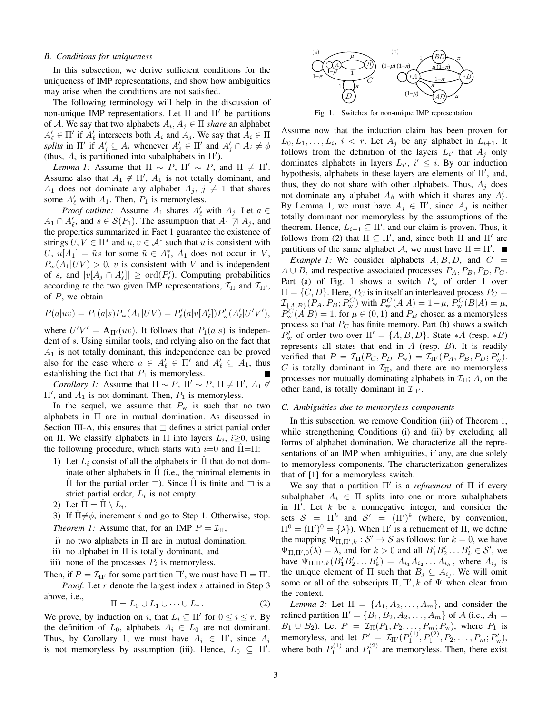#### *B. Conditions for uniqueness*

In this subsection, we derive sufficient conditions for the uniqueness of IMP representations, and show how ambiguities may arise when the conditions are not satisfied.

The following terminology will help in the discussion of non-unique IMP representations. Let Π and  $\Pi'$  be partitions of A. We say that two alphabets  $A_i, A_j \in \Pi$  *share* an alphabet  $A'_\ell \in \Pi'$  if  $A'_\ell$  intersects both  $A_i$  and  $A_j$ . We say that  $A_i \in \Pi$ *splits* in  $\Pi'$  if  $A'_j \subseteq A_i$  whenever  $A'_j \in \Pi'$  and  $A'_j \cap A_i \neq \emptyset$ (thus,  $A_i$  is partitioned into subalphabets in  $\Pi'$ ).

*Lemma 1:* Assume that  $\Pi \sim P$ ,  $\Pi' \sim P$ , and  $\Pi \neq \Pi'$ . Assume also that  $A_1 \notin \Pi'$ ,  $A_1$  is not totally dominant, and  $A_1$  does not dominate any alphabet  $A_j$ ,  $j \neq 1$  that shares some  $A'_\ell$  with  $A_1$ . Then,  $P_1$  is memoryless.

*Proof outline:* Assume  $A_1$  shares  $A'_\ell$  with  $A_j$ . Let  $a \in$  $A_1 \cap A'_\ell$ , and  $s \in \mathcal{S}(P_1)$ . The assumption that  $A_1 \not\supseteq A_j$ , and the properties summarized in Fact 1 guarantee the existence of strings  $U, V \in \Pi^*$  and  $u, v \in A^*$  such that u is consistent with U,  $u[A_1] = \tilde{u}s$  for some  $\tilde{u} \in A_1^*$ ,  $A_1$  does not occur in V,  $P_{\rm w}(A_1|UV) > 0$ , v is consistent with V and is independent of s, and  $|v[A_j \cap A'_\ell]| \geq \text{ord}(P'_\ell)$ . Computing probabilities according to the two given IMP representations,  $\mathcal{I}_{\Pi}$  and  $\mathcal{I}_{\Pi'}$ , of  $P$ , we obtain

$$
P(a|uv) = P_1(a|s)P_w(A_1|UV) = P'_\ell(a|v[A'_\ell])P'_w(A'_\ell|U'V'),
$$

where  $U'V' = A_{\Pi'}(uv)$ . It follows that  $P_1(a|s)$  is independent of s. Using similar tools, and relying also on the fact that  $A_1$  is not totally dominant, this independence can be proved also for the case where  $a \in A'_{\ell} \in \Pi'$  and  $A'_{\ell} \subseteq A_1$ , thus establishing the fact that  $P_1$  is memoryless.

*Corollary 1:* Assume that  $\Pi \sim P$ ,  $\Pi' \sim P$ ,  $\Pi \neq \Pi'$ ,  $A_1 \notin \mathcal{A}$  $\Pi'$ , and  $A_1$  is not dominant. Then,  $P_1$  is memoryless.

In the sequel, we assume that  $P_w$  is such that no two alphabets in Π are in mutual domination. As discussed in Section III-A, this ensures that  $\Box$  defines a strict partial order on  $\Pi$ . We classify alphabets in  $\Pi$  into layers  $L_i$ ,  $i \geq 0$ , using the following procedure, which starts with  $i=0$  and  $\Pi=\Pi$ :

- 1) Let  $L_i$  consist of all the alphabets in  $\Pi$  that do not dominate other alphabets in  $\Pi$  (i.e., the minimal elements in  $\Pi$  for the partial order  $\Box$ ). Since  $\Pi$  is finite and  $\Box$  is a strict partial order,  $L_i$  is not empty.
- 2) Let  $\hat{\Pi} = \hat{\Pi} \setminus L_i$ .
- 3) If  $\Pi \neq \phi$ , increment i and go to Step 1. Otherwise, stop. *Theorem 1:* Assume that, for an IMP  $P = \mathcal{I}_{\Pi}$ ,
- i) no two alphabets in  $\Pi$  are in mutual domination,
- ii) no alphabet in  $\Pi$  is totally dominant, and
- iii) none of the processes  $P_i$  is memoryless.

Then, if  $P = \mathcal{I}_{\Pi'}$  for some partition  $\Pi'$ , we must have  $\Pi = \Pi'$ . *Proof:* Let  $r$  denote the largest index  $i$  attained in Step 3 above, i.e.,

$$
\Pi = L_0 \cup L_1 \cup \dots \cup L_r. \tag{2}
$$

We prove, by induction on i, that  $L_i \subseteq \Pi'$  for  $0 \le i \le r$ . By the definition of  $L_0$ , alphabets  $A_i \in L_0$  are not dominant. Thus, by Corollary 1, we must have  $A_i \in \Pi'$ , since  $A_i$ is not memoryless by assumption (iii). Hence,  $L_0 \subseteq \Pi'$ .



Fig. 1. Switches for non-unique IMP representation.

Assume now that the induction claim has been proven for  $L_0, L_1, \ldots, L_i, i < r$ . Let  $A_j$  be any alphabet in  $L_{i+1}$ . It follows from the definition of the layers  $L_{i'}$  that  $A_j$  only dominates alphabets in layers  $L_{i'}$ ,  $i' \leq i$ . By our induction hypothesis, alphabets in these layers are elements of  $\Pi'$ , and, thus, they do not share with other alphabets. Thus,  $A_i$  does not dominate any alphabet  $A_h$  with which it shares any  $A'_\ell$ . By Lemma 1, we must have  $A_j \in \Pi'$ , since  $A_j$  is neither totally dominant nor memoryless by the assumptions of the theorem. Hence,  $L_{i+1} \subseteq \Pi'$ , and our claim is proven. Thus, it follows from (2) that  $\Pi \subseteq \Pi'$ , and, since both  $\Pi$  and  $\Pi'$  are partitions of the same alphabet A, we must have  $\Pi = \Pi'$ .

*Example 1:* We consider alphabets  $A, B, D$ , and  $C =$  $A \cup B$ , and respective associated processes  $P_A, P_B, P_D, P_C$ . Part (a) of Fig. 1 shows a switch  $P_w$  of order 1 over  $\Pi = \{C, D\}$ . Here,  $P_C$  is in itself an interleaved process  $P_C =$  $\mathcal{I}_{\{A,B\}}(P_A, P_B; P_w^C)$  with  $P_w^C(A|A) = 1 - \mu$ ,  $P_w^C(B|A) = \mu$ ,  $P_{\rm w}^C(A|B) = 1$ , for  $\mu \in (0,1)$  and  $P_B$  chosen as a memoryless process so that  $P_C$  has finite memory. Part (b) shows a switch  $P'_w$  of order two over  $\Pi' = \{A, B, D\}$ . State \*A (resp. \*B) represents all states that end in  $A$  (resp.  $B$ ). It is readily verified that  $P = \mathcal{I}_{\Pi}(P_C, P_D; P_w) = \mathcal{I}_{\Pi'}(P_A, P_B, P_D; P'_w)$ . C is totally dominant in  $\mathcal{I}_{\Pi}$ , and there are no memoryless processes nor mutually dominating alphabets in  $\mathcal{I}_{\Pi}$ ; A, on the other hand, is totally dominant in  $\mathcal{I}_{\Pi'}$ .

# *C. Ambiguities due to memoryless components*

In this subsection, we remove Condition (iii) of Theorem 1, while strengthening Conditions (i) and (ii) by excluding all forms of alphabet domination. We characterize all the representations of an IMP when ambiguities, if any, are due solely to memoryless components. The characterization generalizes that of [1] for a memoryless switch.

We say that a partition Π' is a *refinement* of Π if every subalphabet  $A_i \in \Pi$  splits into one or more subalphabets in  $\Pi'$ . Let k be a nonnegative integer, and consider the sets  $S = \Pi^k$  and  $S' = (\Pi')^k$  (where, by convention,  $\Pi^0 = (\Pi')^0 = {\lambda}$ . When  $\Pi'$  is a refinement of  $\Pi$ , we define the mapping  $\Psi_{\Pi,\Pi',k} : \mathcal{S}' \to \mathcal{S}$  as follows: for  $k = 0$ , we have  $\Psi_{\Pi,\Pi',0}(\lambda) = \lambda$ , and for  $k > 0$  and all  $B'_1 B'_2 \dots B'_k \in \mathcal{S}'$ , we have  $\Psi_{\Pi,\Pi',k}(B'_1B'_2 \dots B'_k) = A_{i_1}A_{i_2} \dots A_{i_k}$ , where  $A_{i_j}$  is the unique element of  $\Pi$  such that  $B_j \subseteq A_{i_j}$ . We will omit some or all of the subscripts  $\Pi$ ,  $\Pi'$ ,  $k$  of  $\Psi$  when clear from the context.

*Lemma 2:* Let  $\Pi = \{A_1, A_2, \ldots, A_m\}$ , and consider the refined partition  $\Pi' = \{B_1, B_2, A_2, \ldots, A_m\}$  of A (i.e.,  $A_1 =$  $B_1 \cup B_2$ ). Let  $P = \mathcal{I}_{\Pi}(P_1, P_2, \ldots, P_m; P_w)$ , where  $P_1$  is memoryless, and let  $P' = \mathcal{I}_{\Pi'}(P_1^{(1)}, P_1^{(2)}, P_2, \dots, P_m; P_w',$ where both  $P_1^{(1)}$  and  $P_1^{(2)}$  are memoryless. Then, there exist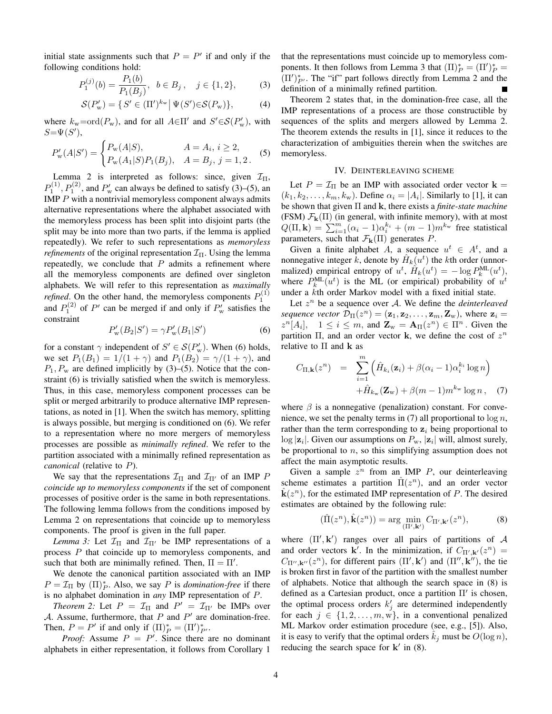initial state assignments such that  $P = P'$  if and only if the following conditions hold:

$$
P_1^{(j)}(b) = \frac{P_1(b)}{P_1(B_j)}, \ b \in B_j, \ j \in \{1, 2\},\tag{3}
$$

$$
\mathcal{S}(P_{\rm w}') = \{ S' \in (\Pi')^{k_{\rm w}} \, \big| \, \Psi(S') \in \mathcal{S}(P_{\rm w}) \},\tag{4}
$$

where  $k_{\rm w}$ =ord $(P_{\rm w})$ , and for all  $A \in \Pi'$  and  $S' \in \mathcal{S}(P_{\rm w}')$ , with  $S = \Psi(S'),$ 

$$
P'_{\mathbf{w}}(A|S') = \begin{cases} P_{\mathbf{w}}(A|S), & A = A_i, i \ge 2, \\ P_{\mathbf{w}}(A_1|S)P_1(B_j), & A = B_j, j = 1, 2. \end{cases}
$$
 (5)

Lemma 2 is interpreted as follows: since, given  $\mathcal{I}_{\Pi}$ ,  $P_1^{(1)}$ ,  $P_1^{(2)}$ , and  $P'_w$  can always be defined to satisfy (3)–(5), an IMP  $P$  with a nontrivial memoryless component always admits alternative representations where the alphabet associated with the memoryless process has been split into disjoint parts (the split may be into more than two parts, if the lemma is applied repeatedly). We refer to such representations as *memoryless refinements* of the original representation  $\mathcal{I}_{\Pi}$ . Using the lemma repeatedly, we conclude that  $P$  admits a refinement where all the memoryless components are defined over singleton alphabets. We will refer to this representation as *maximally refined*. On the other hand, the memoryless components  $P_1^{(1)}$ and  $P_1^{(2)}$  of P' can be merged if and only if  $P_w'$  satisfies the constraint

$$
P_{\rm w}'(B_2|S') = \gamma P_{\rm w}'(B_1|S')
$$
 (6)

for a constant  $\gamma$  independent of  $S' \in \mathcal{S}(P_{\rm w}')$ . When (6) holds, we set  $P_1(B_1) = 1/(1 + \gamma)$  and  $P_1(B_2) = \gamma/(1 + \gamma)$ , and  $P_1, P_w$  are defined implicitly by (3)–(5). Notice that the constraint (6) is trivially satisfied when the switch is memoryless. Thus, in this case, memoryless component processes can be split or merged arbitrarily to produce alternative IMP representations, as noted in [1]. When the switch has memory, splitting is always possible, but merging is conditioned on (6). We refer to a representation where no more mergers of memoryless processes are possible as *minimally refined*. We refer to the partition associated with a minimally refined representation as *canonical* (relative to P).

We say that the representations  $\mathcal{I}_{\Pi}$  and  $\mathcal{I}_{\Pi'}$  of an IMP P *coincide up to memoryless components* if the set of component processes of positive order is the same in both representations. The following lemma follows from the conditions imposed by Lemma 2 on representations that coincide up to memoryless components. The proof is given in the full paper.

*Lemma 3:* Let  $\mathcal{I}_{\Pi}$  and  $\mathcal{I}_{\Pi'}$  be IMP representations of a process P that coincide up to memoryless components, and such that both are minimally refined. Then,  $\Pi = \Pi'$ .

We denote the canonical partition associated with an IMP  $P = \mathcal{I}_{\Pi}$  by  $(\Pi)_P^*$ . Also, we say P is *domination-free* if there is no alphabet domination in *any* IMP representation of P.

*Theorem 2:* Let  $P = \mathcal{I}_{\Pi}$  and  $P' = \mathcal{I}_{\Pi'}$  be IMPs over A. Assume, furthermore, that  $P$  and  $P'$  are domination-free. Then,  $P = P'$  if and only if  $(\Pi)_P^* = (\Pi')_{P'}^*$ .

*Proof:* Assume  $P = P'$ . Since there are no dominant alphabets in either representation, it follows from Corollary 1

that the representations must coincide up to memoryless components. It then follows from Lemma 3 that  $(\Pi)_P^* = (\Pi')_P^* =$  $(\Pi')_{P'}^*$ . The "if" part follows directly from Lemma 2 and the definition of a minimally refined partition.

Theorem 2 states that, in the domination-free case, all the IMP representations of a process are those constructible by sequences of the splits and mergers allowed by Lemma 2. The theorem extends the results in [1], since it reduces to the characterization of ambiguities therein when the switches are memoryless.

## IV. DEINTERLEAVING SCHEME

Let  $P = \mathcal{I}_{\Pi}$  be an IMP with associated order vector  $\mathbf{k} =$  $(k_1, k_2, \ldots, k_m, k_w)$ . Define  $\alpha_i = |A_i|$ . Similarly to [1], it can be shown that given Π and k, there exists a *finite-state machine* (FSM)  $\mathcal{F}_{k}(\Pi)$  (in general, with infinite memory), with at most  $Q(\Pi, \mathbf{k}) = \sum_{i=1}^{m} (\alpha_i - 1)\alpha_i^{k_i} + (m-1)m^{k_w}$  free statistical parameters, such that  $\mathcal{F}_{k}(\Pi)$  generates P.

Given a finite alphabet A, a sequence  $u^t \in A^t$ , and a nonnegative integer  $\hat{k}$ , denote by  $\hat{H}_k(u^t)$  the *k*th order (unnormalized) empirical entropy of  $u^t$ ,  $\hat{H}_k(u^t) = -\log P_k^{\text{ML}}(u^t)$ , where  $P_k^{\text{ML}}(u^t)$  is the ML (or empirical) probability of  $u^t$ under a kth order Markov model with a fixed initial state.

Let  $z^n$  be a sequence over  $A$ . We define the *deinterleaved sequence vector*  $\mathcal{D}_{\Pi}(z^n) = (\mathbf{z}_1, \mathbf{z}_2, \dots, \mathbf{z}_m, \mathbf{Z}_{w})$ , where  $\mathbf{z}_i =$  $z^{n}[A_i], \quad 1 \leq i \leq m$ , and  $\mathbf{Z}_{w} = \mathbf{A}_{\Pi}(z^{n}) \in \Pi^{n}$ . Given the partition  $\Pi$ , and an order vector **k**, we define the cost of  $z^n$ relative to  $\Pi$  and  $\bf{k}$  as

$$
C_{\Pi,\mathbf{k}}(z^n) = \sum_{i=1}^m \left( \hat{H}_{k_i}(\mathbf{z}_i) + \beta(\alpha_i - 1)\alpha_i^{k_i} \log n \right)
$$

$$
+ \hat{H}_{k_w}(\mathbf{Z}_w) + \beta(m-1)m^{k_w} \log n, \quad (7)
$$

where  $\beta$  is a nonnegative (penalization) constant. For convenience, we set the penalty terms in (7) all proportional to  $\log n$ , rather than the term corresponding to  $z_i$  being proportional to  $\log |\mathbf{z}_i|$ . Given our assumptions on  $P_{\text{w}}$ ,  $|\mathbf{z}_i|$  will, almost surely, be proportional to  $n$ , so this simplifying assumption does not affect the main asymptotic results.

Given a sample  $z^n$  from an IMP  $P$ , our deinterleaving scheme estimates a partition  $\hat{\Pi}(z^n)$ , and an order vector  $\hat{\mathbf{k}}(z^n)$ , for the estimated IMP representation of P. The desired estimates are obtained by the following rule:

$$
(\hat{\Pi}(z^n), \hat{\mathbf{k}}(z^n)) = \arg\min_{(\Pi', \mathbf{k}')} C_{\Pi', \mathbf{k}'}(z^n),\tag{8}
$$

where  $(\Pi', \mathbf{k}')$  ranges over all pairs of partitions of A and order vectors **k**'. In the minimization, if  $C_{\Pi',\mathbf{k'}}(z^n)$  =  $C_{\Pi'',\mathbf k''}(z^n)$ , for different pairs  $(\Pi',\mathbf k')$  and  $(\Pi'',\mathbf k'')$ , the tie is broken first in favor of the partition with the smallest number of alphabets. Notice that although the search space in (8) is defined as a Cartesian product, once a partition Π' is chosen, the optimal process orders  $k'_j$  are determined independently for each  $j \in \{1, 2, \ldots, m, \tilde{w}\}\$ , in a conventional penalized ML Markov order estimation procedure (see, e.g., [5]). Also, it is easy to verify that the optimal orders  $k_i$  must be  $O(\log n)$ , reducing the search space for  $k'$  in (8).